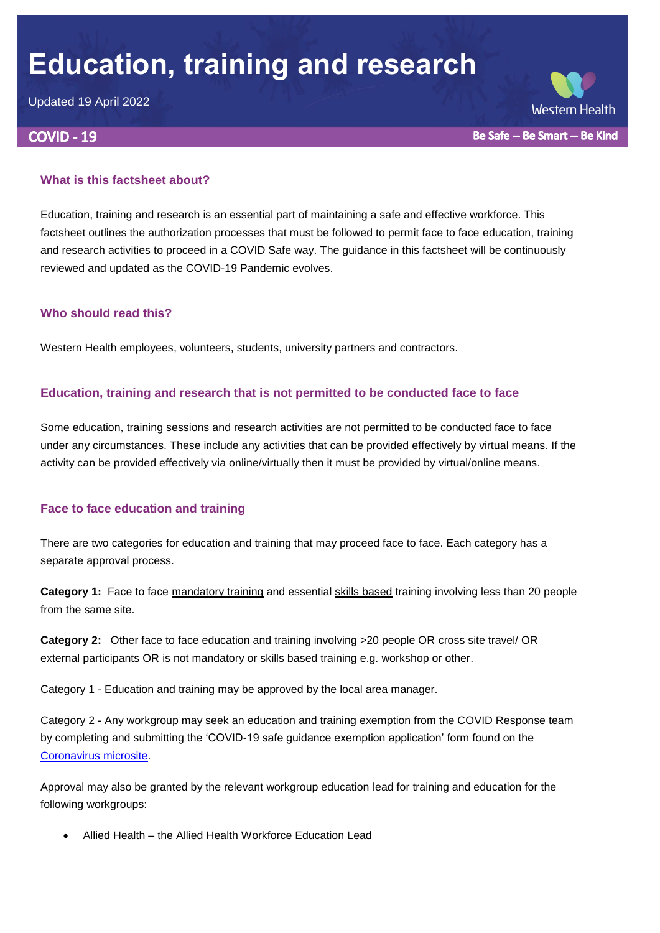# **Education, training and research**

Updated 19 April 2022

# **COVID - 19**

**Western Health** 

Be Safe -- Be Smart -- Be Kind

### **What is this factsheet about?**

Education, training and research is an essential part of maintaining a safe and effective workforce. This factsheet outlines the authorization processes that must be followed to permit face to face education, training and research activities to proceed in a COVID Safe way. The guidance in this factsheet will be continuously reviewed and updated as the COVID-19 Pandemic evolves.

#### **Who should read this?**

Western Health employees, volunteers, students, university partners and contractors.

# **Education, training and research that is not permitted to be conducted face to face**

Some education, training sessions and research activities are not permitted to be conducted face to face under any circumstances. These include any activities that can be provided effectively by virtual means. If the activity can be provided effectively via online/virtually then it must be provided by virtual/online means.

# **Face to face education and training**

There are two categories for education and training that may proceed face to face. Each category has a separate approval process.

**Category 1:** Face to face mandatory training and essential skills based training involving less than 20 people from the same site.

**Category 2:** Other face to face education and training involving >20 people OR cross site travel/ OR external participants OR is not mandatory or skills based training e.g. workshop or other.

Category 1 - Education and training may be approved by the local area manager.

Category 2 - Any workgroup may seek an education and training exemption from the COVID Response team by completing and submitting the 'COVID-19 safe guidance exemption application' form found on the [Coronavirus microsite.](https://coronavirus.wh.org.au/)

Approval may also be granted by the relevant workgroup education lead for training and education for the following workgroups:

Allied Health – the Allied Health Workforce Education Lead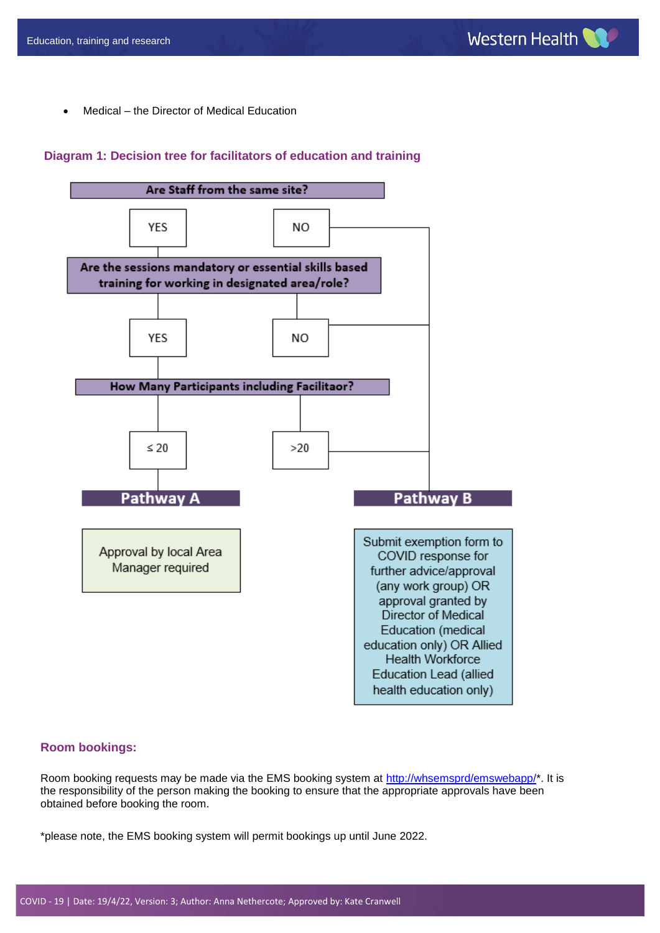• Medical – the Director of Medical Education



# **Diagram 1: Decision tree for facilitators of education and training**

#### **Room bookings:**

Room booking requests may be made via the EMS booking system at [http://whsemsprd/emswebapp/\\*](http://whsemsprd/emswebapp/). It is the responsibility of the person making the booking to ensure that the appropriate approvals have been obtained before booking the room.

\*please note, the EMS booking system will permit bookings up until June 2022.